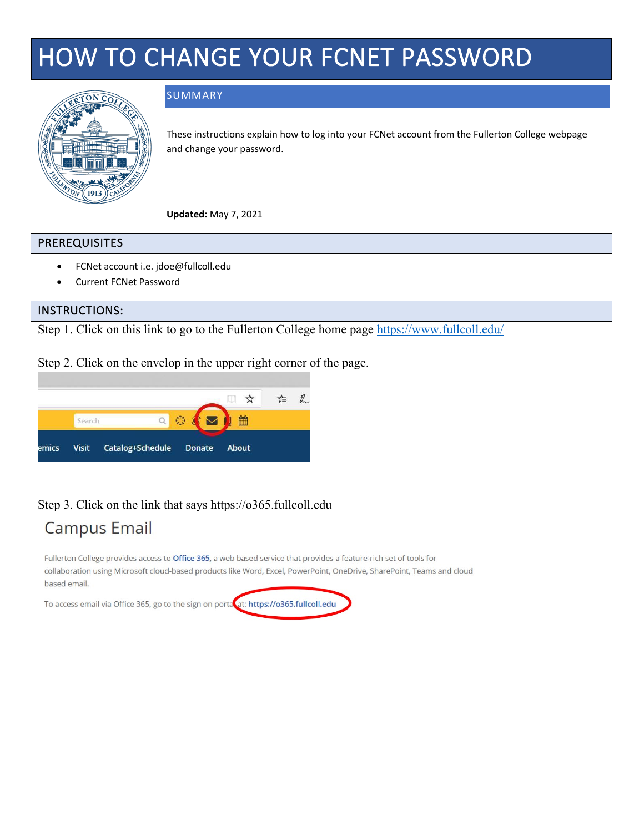# HOW TO CHANGE YOUR FCNET PASSWORD



#### SUMMARY

These instructions explain how to log into your FCNet account from the Fullerton College webpage and change your password.

**Updated:** May 7, 2021

#### PREREQUISITES

- FCNet account i.e. jdoe@fullcoll.edu
- Current FCNet Password

#### INSTRUCTIONS:

Step 1. Click on this link to go to the Fullerton College home page<https://www.fullcoll.edu/>

Step 2. Click on the envelop in the upper right corner of the page.



#### Step 3. Click on the link that says https://o365.fullcoll.edu

### **Campus Email**

Fullerton College provides access to Office 365, a web based service that provides a feature-rich set of tools for collaboration using Microsoft cloud-based products like Word, Excel, PowerPoint, OneDrive, SharePoint, Teams and cloud based email.

To access email via Office 365, go to the sign on porta at: https://o365.fullcoll.edu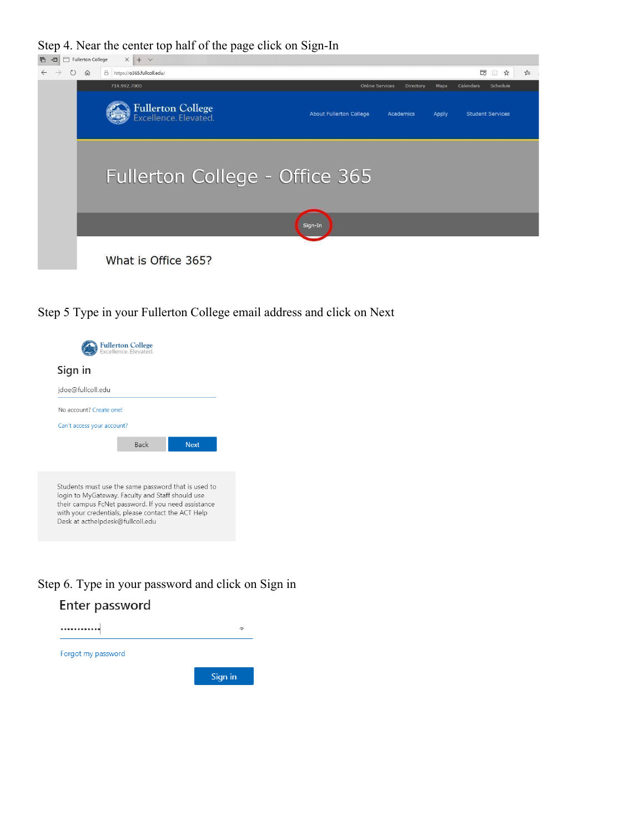Step 4. Near the center top half of the page click on Sign-In



What is Office 365?

Step 5 Type in your Fullerton College email address and click on Next

| Sign in                                                                                                                                                                                                                                                  |             |             |
|----------------------------------------------------------------------------------------------------------------------------------------------------------------------------------------------------------------------------------------------------------|-------------|-------------|
| jdoe@fullcoll.edu                                                                                                                                                                                                                                        |             |             |
| No account? Create one!                                                                                                                                                                                                                                  |             |             |
| Can't access your account?                                                                                                                                                                                                                               |             |             |
|                                                                                                                                                                                                                                                          | <b>Back</b> | <b>Next</b> |
|                                                                                                                                                                                                                                                          |             |             |
| Students must use the same password that is used to<br>login to MyGateway. Faculty and Staff should use<br>their campus FcNet password. If you need assistance<br>with your credentials, please contact the ACT Help<br>Desk at acthelpdesk@fullcoll.edu |             |             |

#### Step 6. Type in your password and click on Sign in

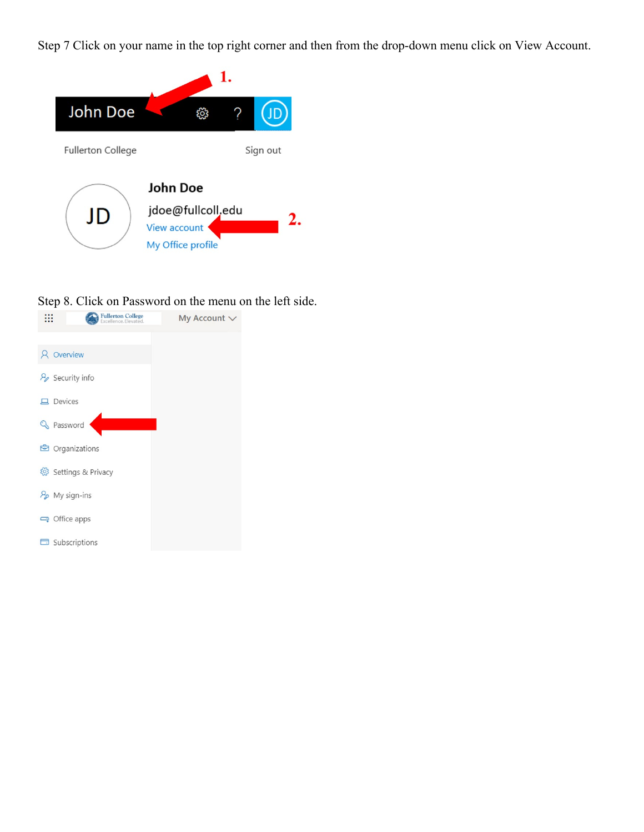Step 7 Click on your name in the top right corner and then from the drop-down menu click on View Account.



# Step 8. Click on Password on the menu on the left side.<br> $\frac{1}{111}$